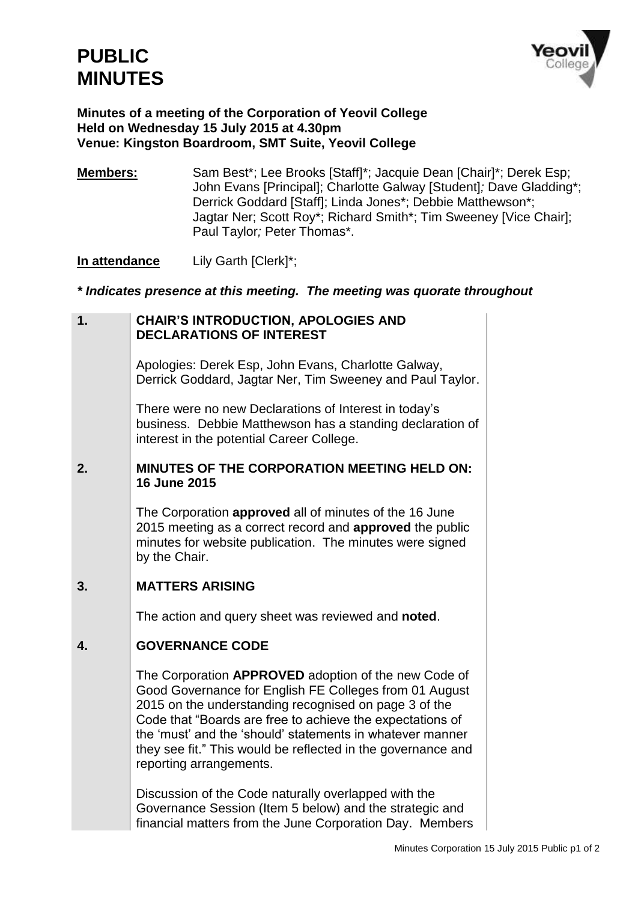

#### **Minutes of a meeting of the Corporation of Yeovil College Held on Wednesday 15 July 2015 at 4.30pm Venue: Kingston Boardroom, SMT Suite, Yeovil College**

**Members:** Sam Best\*; Lee Brooks [Staff]\*; Jacquie Dean [Chair]\*; Derek Esp; John Evans [Principal]; Charlotte Galway [Student]*;* Dave Gladding\*; Derrick Goddard [Staff]; Linda Jones\*; Debbie Matthewson\*; Jagtar Ner; Scott Roy\*; Richard Smith\*; Tim Sweeney [Vice Chair]; Paul Taylor*;* Peter Thomas\*.

**In attendance** Lily Garth [Clerk]\*;

### *\* Indicates presence at this meeting. The meeting was quorate throughout*

### **1. CHAIR'S INTRODUCTION, APOLOGIES AND DECLARATIONS OF INTEREST**

Apologies: Derek Esp, John Evans, Charlotte Galway, Derrick Goddard, Jagtar Ner, Tim Sweeney and Paul Taylor.

There were no new Declarations of Interest in today's business. Debbie Matthewson has a standing declaration of interest in the potential Career College.

## **2. MINUTES OF THE CORPORATION MEETING HELD ON: 16 June 2015**

The Corporation **approved** all of minutes of the 16 June 2015 meeting as a correct record and **approved** the public minutes for website publication. The minutes were signed by the Chair.

# **3. MATTERS ARISING**

The action and query sheet was reviewed and **noted**.

# **4. GOVERNANCE CODE**

The Corporation **APPROVED** adoption of the new Code of Good Governance for English FE Colleges from 01 August 2015 on the understanding recognised on page 3 of the Code that "Boards are free to achieve the expectations of the 'must' and the 'should' statements in whatever manner they see fit." This would be reflected in the governance and reporting arrangements.

Discussion of the Code naturally overlapped with the Governance Session (Item 5 below) and the strategic and financial matters from the June Corporation Day. Members